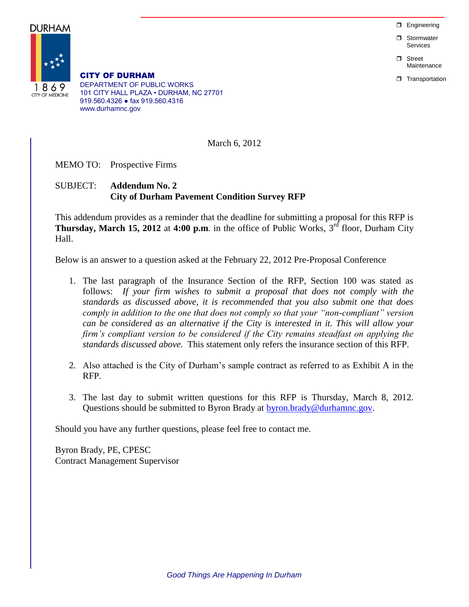**D** Engineering

**D** Stormwater Services

n Street Maintenance

**T** Transportation

DURHAM 1869 **CITY OF MEDICINE** 

CITY OF DURHAM DEPARTMENT OF PUBLIC WORKS 101 CITY HALL PLAZA • DURHAM, NC 27701 919.560.4326 ● fax 919.560.4316 www.durhamnc.gov

March 6, 2012

MEMO TO: Prospective Firms

## SUBJECT: **Addendum No. 2 City of Durham Pavement Condition Survey RFP**

This addendum provides as a reminder that the deadline for submitting a proposal for this RFP is **Thursday, March 15, 2012** at 4:00 p.m. in the office of Public Works,  $3<sup>rd</sup>$  floor, Durham City Hall.

Below is an answer to a question asked at the February 22, 2012 Pre-Proposal Conference

- 1. The last paragraph of the Insurance Section of the RFP, Section 100 was stated as follows: *If your firm wishes to submit a proposal that does not comply with the standards as discussed above, it is recommended that you also submit one that does comply in addition to the one that does not comply so that your "non-compliant" version can be considered as an alternative if the City is interested in it. This will allow your firm's compliant version to be considered if the City remains steadfast on applying the standards discussed above.* This statement only refers the insurance section of this RFP.
- 2. Also attached is the City of Durham's sample contract as referred to as Exhibit A in the RFP.
- 3. The last day to submit written questions for this RFP is Thursday, March 8, 2012. Questions should be submitted to Byron Brady at [byron.brady@durhamnc.gov.](mailto:byron.brady@durhamnc.gov)

Should you have any further questions, please feel free to contact me.

Byron Brady, PE, CPESC Contract Management Supervisor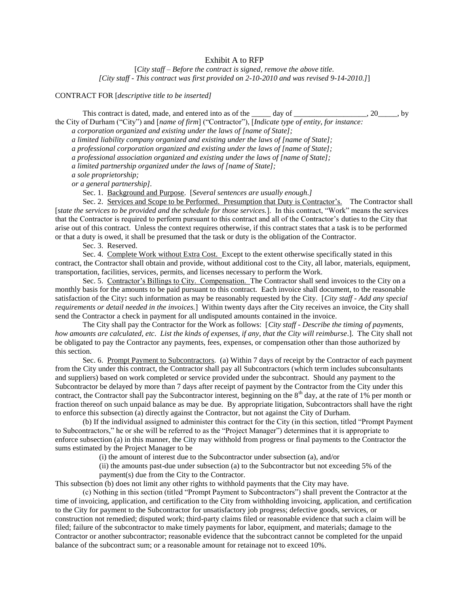## Exhibit A to RFP

[*City staff – Before the contract is signed, remove the above title. [City staff - This contract was first provided on 2-10-2010 and was revised 9-14-2010.]*]

CONTRACT FOR [*descriptive title to be inserted]*

This contract is dated, made, and entered into as of the \_\_\_\_\_ day of \_\_\_\_\_\_\_\_\_\_\_\_\_\_\_\_, 20\_\_\_\_\_, by the City of Durham ("City") and [*name of firm*] ("Contractor"), [*Indicate type of entity, for instance:*

*a corporation organized and existing under the laws of [name of State];*

*a limited liability company organized and existing under the laws of [name of State];*

*a professional corporation organized and existing under the laws of [name of State];*

*a professional association organized and existing under the laws of [name of State];* 

*a limited partnership organized under the laws of [name of State];* 

*a sole proprietorship;* 

*or a general partnership].*

Sec. 1. Background and Purpose. [*Several sentences are usually enough.]*

Sec. 2. Services and Scope to be Performed. Presumption that Duty is Contractor's. The Contractor shall [s*tate the services to be provided and the schedule for those services.*]. In this contract, "Work" means the services that the Contractor is required to perform pursuant to this contract and all of the Contractor's duties to the City that arise out of this contract. Unless the context requires otherwise, if this contract states that a task is to be performed or that a duty is owed, it shall be presumed that the task or duty is the obligation of the Contractor.

Sec. 3. Reserved.

Sec. 4. Complete Work without Extra Cost. Except to the extent otherwise specifically stated in this contract, the Contractor shall obtain and provide, without additional cost to the City, all labor, materials, equipment, transportation, facilities, services, permits, and licenses necessary to perform the Work.

Sec. 5. Contractor's Billings to City. Compensation. The Contractor shall send invoices to the City on a monthly basis for the amounts to be paid pursuant to this contract. Each invoice shall document, to the reasonable satisfaction of the City**:** such information as may be reasonably requested by the City. [*City staff - Add any special requirements or detail needed in the invoices.*] Within twenty days after the City receives an invoice, the City shall send the Contractor a check in payment for all undisputed amounts contained in the invoice.

The City shall pay the Contractor for the Work as follows: [*City staff - Describe the timing of payments, how amounts are calculated, etc*. *List the kinds of expenses, if any, that the City will reimburse*.]. The City shall not be obligated to pay the Contractor any payments, fees, expenses, or compensation other than those authorized by this section.

Sec. 6. Prompt Payment to Subcontractors. (a) Within 7 days of receipt by the Contractor of each payment from the City under this contract, the Contractor shall pay all Subcontractors (which term includes subconsultants and suppliers) based on work completed or service provided under the subcontract. Should any payment to the Subcontractor be delayed by more than 7 days after receipt of payment by the Contractor from the City under this contract, the Contractor shall pay the Subcontractor interest, beginning on the  $8<sup>th</sup>$  day, at the rate of 1% per month or fraction thereof on such unpaid balance as may be due. By appropriate litigation, Subcontractors shall have the right to enforce this subsection (a) directly against the Contractor, but not against the City of Durham.

(b) If the individual assigned to administer this contract for the City (in this section, titled "Prompt Payment to Subcontractors," he or she will be referred to as the "Project Manager") determines that it is appropriate to enforce subsection (a) in this manner, the City may withhold from progress or final payments to the Contractor the sums estimated by the Project Manager to be

(i) the amount of interest due to the Subcontractor under subsection (a), and/or

(ii) the amounts past-due under subsection (a) to the Subcontractor but not exceeding 5% of the payment(s) due from the City to the Contractor.

This subsection (b) does not limit any other rights to withhold payments that the City may have.

(c) Nothing in this section (titled "Prompt Payment to Subcontractors") shall prevent the Contractor at the time of invoicing, application, and certification to the City from withholding invoicing, application, and certification to the City for payment to the Subcontractor for unsatisfactory job progress; defective goods, services, or construction not remedied; disputed work; third-party claims filed or reasonable evidence that such a claim will be filed; failure of the subcontractor to make timely payments for labor, equipment, and materials; damage to the Contractor or another subcontractor; reasonable evidence that the subcontract cannot be completed for the unpaid balance of the subcontract sum; or a reasonable amount for retainage not to exceed 10%.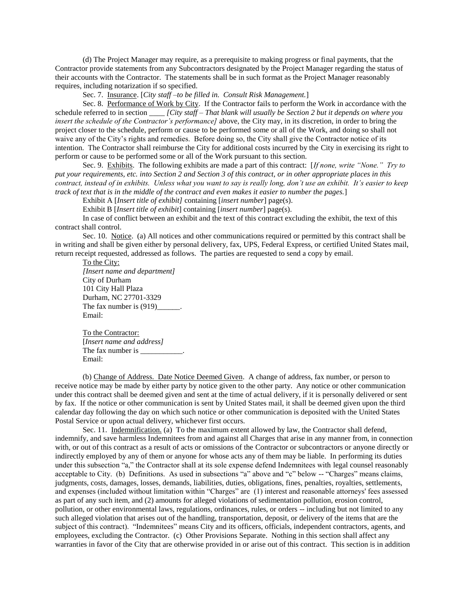(d) The Project Manager may require, as a prerequisite to making progress or final payments, that the Contractor provide statements from any Subcontractors designated by the Project Manager regarding the status of their accounts with the Contractor. The statements shall be in such format as the Project Manager reasonably requires, including notarization if so specified.

Sec. 7. Insurance. [*City staff –to be filled in. Consult Risk Management.*]

Sec. 8. Performance of Work by City. If the Contractor fails to perform the Work in accordance with the schedule referred to in section \_\_\_\_ *[City staff – That blank will usually be Section 2 but it depends on where you insert the schedule of the Contractor's performance]* above, the City may, in its discretion, in order to bring the project closer to the schedule, perform or cause to be performed some or all of the Work, and doing so shall not waive any of the City's rights and remedies. Before doing so, the City shall give the Contractor notice of its intention. The Contractor shall reimburse the City for additional costs incurred by the City in exercising its right to perform or cause to be performed some or all of the Work pursuant to this section.

Sec. 9. Exhibits. The following exhibits are made a part of this contract: [*If none, write "None." Try to put your requirements, etc. into Section 2 and Section 3 of this contract, or in other appropriate places in this contract, instead of in exhibits. Unless what you want to say is really long, don't use an exhibit. It's easier to keep track of text that is in the middle of the contract and even makes it easier to number the pages.*]

Exhibit A [*Insert title of exhibit]* containing [*insert number*] page(s).

Exhibit B [*Insert title of exhibit*] containing [*insert number*] page(s).

In case of conflict between an exhibit and the text of this contract excluding the exhibit, the text of this contract shall control.

Sec. 10. Notice. (a) All notices and other communications required or permitted by this contract shall be in writing and shall be given either by personal delivery, fax, UPS, Federal Express, or certified United States mail, return receipt requested, addressed as follows. The parties are requested to send a copy by email.

To the City: *[Insert name and department]* City of Durham 101 City Hall Plaza Durham, NC 27701-3329 The fax number is  $(919)$  \_\_\_\_\_. Email:

To the Contractor: [*Insert name and address]* The fax number is \_\_\_\_\_\_\_\_\_\_\_. Email:

(b) Change of Address. Date Notice Deemed Given. A change of address, fax number, or person to receive notice may be made by either party by notice given to the other party. Any notice or other communication under this contract shall be deemed given and sent at the time of actual delivery, if it is personally delivered or sent by fax. If the notice or other communication is sent by United States mail, it shall be deemed given upon the third calendar day following the day on which such notice or other communication is deposited with the United States Postal Service or upon actual delivery, whichever first occurs.

Sec. 11. Indemnification. (a) To the maximum extent allowed by law, the Contractor shall defend, indemnify, and save harmless Indemnitees from and against all Charges that arise in any manner from, in connection with, or out of this contract as a result of acts or omissions of the Contractor or subcontractors or anyone directly or indirectly employed by any of them or anyone for whose acts any of them may be liable. In performing its duties under this subsection "a," the Contractor shall at its sole expense defend Indemnitees with legal counsel reasonably acceptable to City. (b) Definitions. As used in subsections "a" above and "c" below -- "Charges" means claims, judgments, costs, damages, losses, demands, liabilities, duties, obligations, fines, penalties, royalties, settlements, and expenses (included without limitation within "Charges" are (1) interest and reasonable attorneys' fees assessed as part of any such item, and (2) amounts for alleged violations of sedimentation pollution, erosion control, pollution, or other environmental laws, regulations, ordinances, rules, or orders -- including but not limited to any such alleged violation that arises out of the handling, transportation, deposit, or delivery of the items that are the subject of this contract). "Indemnitees" means City and its officers, officials, independent contractors, agents, and employees, excluding the Contractor. (c) Other Provisions Separate. Nothing in this section shall affect any warranties in favor of the City that are otherwise provided in or arise out of this contract. This section is in addition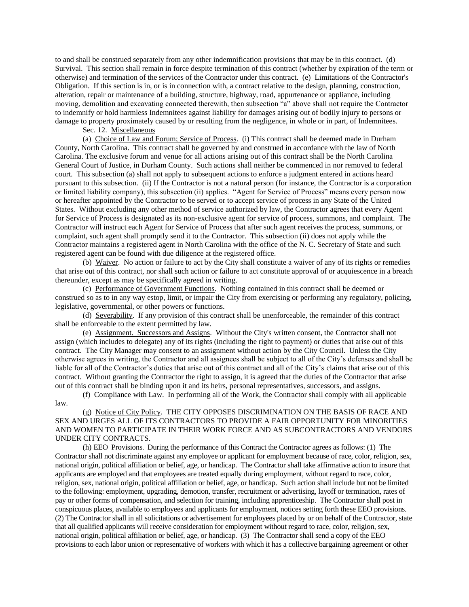to and shall be construed separately from any other indemnification provisions that may be in this contract. (d) Survival. This section shall remain in force despite termination of this contract (whether by expiration of the term or otherwise) and termination of the services of the Contractor under this contract. (e) Limitations of the Contractor's Obligation. If this section is in, or is in connection with, a contract relative to the design, planning, construction, alteration, repair or maintenance of a building, structure, highway, road, appurtenance or appliance, including moving, demolition and excavating connected therewith, then subsection "a" above shall not require the Contractor to indemnify or hold harmless Indemnitees against liability for damages arising out of bodily injury to persons or damage to property proximately caused by or resulting from the negligence, in whole or in part, of Indemnitees.

Sec. 12. Miscellaneous

(a) Choice of Law and Forum; Service of Process. (i) This contract shall be deemed made in Durham County, North Carolina. This contract shall be governed by and construed in accordance with the law of North Carolina. The exclusive forum and venue for all actions arising out of this contract shall be the North Carolina General Court of Justice, in Durham County. Such actions shall neither be commenced in nor removed to federal court. This subsection (a) shall not apply to subsequent actions to enforce a judgment entered in actions heard pursuant to this subsection. (ii) If the Contractor is not a natural person (for instance, the Contractor is a corporation or limited liability company), this subsection (ii) applies. "Agent for Service of Process" means every person now or hereafter appointed by the Contractor to be served or to accept service of process in any State of the United States. Without excluding any other method of service authorized by law, the Contractor agrees that every Agent for Service of Process is designated as its non-exclusive agent for service of process, summons, and complaint. The Contractor will instruct each Agent for Service of Process that after such agent receives the process, summons, or complaint, such agent shall promptly send it to the Contractor. This subsection (ii) does not apply while the Contractor maintains a registered agent in North Carolina with the office of the N. C. Secretary of State and such registered agent can be found with due diligence at the registered office.

(b) Waiver. No action or failure to act by the City shall constitute a waiver of any of its rights or remedies that arise out of this contract, nor shall such action or failure to act constitute approval of or acquiescence in a breach thereunder, except as may be specifically agreed in writing.

(c) Performance of Government Functions. Nothing contained in this contract shall be deemed or construed so as to in any way estop, limit, or impair the City from exercising or performing any regulatory, policing, legislative, governmental, or other powers or functions.

(d) Severability. If any provision of this contract shall be unenforceable, the remainder of this contract shall be enforceable to the extent permitted by law.

(e) Assignment. Successors and Assigns. Without the City's written consent, the Contractor shall not assign (which includes to delegate) any of its rights (including the right to payment) or duties that arise out of this contract. The City Manager may consent to an assignment without action by the City Council. Unless the City otherwise agrees in writing, the Contractor and all assignees shall be subject to all of the City's defenses and shall be liable for all of the Contractor's duties that arise out of this contract and all of the City's claims that arise out of this contract. Without granting the Contractor the right to assign, it is agreed that the duties of the Contractor that arise out of this contract shall be binding upon it and its heirs, personal representatives, successors, and assigns.

(f) Compliance with Law. In performing all of the Work, the Contractor shall comply with all applicable law.

(g) Notice of City Policy. THE CITY OPPOSES DISCRIMINATION ON THE BASIS OF RACE AND SEX AND URGES ALL OF ITS CONTRACTORS TO PROVIDE A FAIR OPPORTUNITY FOR MINORITIES AND WOMEN TO PARTICIPATE IN THEIR WORK FORCE AND AS SUBCONTRACTORS AND VENDORS UNDER CITY CONTRACTS.

(h) EEO Provisions. During the performance of this Contract the Contractor agrees as follows: (1) The Contractor shall not discriminate against any employee or applicant for employment because of race, color, religion, sex, national origin, political affiliation or belief, age, or handicap. The Contractor shall take affirmative action to insure that applicants are employed and that employees are treated equally during employment, without regard to race, color, religion, sex, national origin, political affiliation or belief, age, or handicap. Such action shall include but not be limited to the following: employment, upgrading, demotion, transfer, recruitment or advertising, layoff or termination, rates of pay or other forms of compensation, and selection for training, including apprenticeship. The Contractor shall post in conspicuous places, available to employees and applicants for employment, notices setting forth these EEO provisions. (2) The Contractor shall in all solicitations or advertisement for employees placed by or on behalf of the Contractor, state that all qualified applicants will receive consideration for employment without regard to race, color, religion, sex, national origin, political affiliation or belief, age, or handicap. (3) The Contractor shall send a copy of the EEO provisions to each labor union or representative of workers with which it has a collective bargaining agreement or other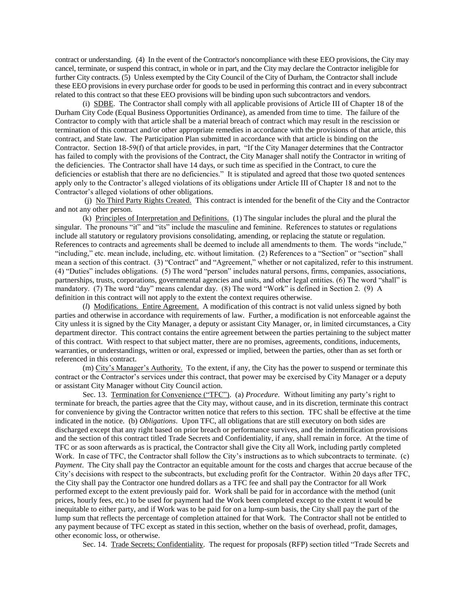contract or understanding. (4) In the event of the Contractor's noncompliance with these EEO provisions, the City may cancel, terminate, or suspend this contract, in whole or in part, and the City may declare the Contractor ineligible for further City contracts. (5) Unless exempted by the City Council of the City of Durham, the Contractor shall include these EEO provisions in every purchase order for goods to be used in performing this contract and in every subcontract related to this contract so that these EEO provisions will be binding upon such subcontractors and vendors.

(i) SDBE. The Contractor shall comply with all applicable provisions of Article III of Chapter 18 of the Durham City Code (Equal Business Opportunities Ordinance), as amended from time to time. The failure of the Contractor to comply with that article shall be a material breach of contract which may result in the rescission or termination of this contract and/or other appropriate remedies in accordance with the provisions of that article, this contract, and State law. The Participation Plan submitted in accordance with that article is binding on the Contractor. Section 18-59(f) of that article provides, in part, "If the City Manager determines that the Contractor has failed to comply with the provisions of the Contract, the City Manager shall notify the Contractor in writing of the deficiencies. The Contractor shall have 14 days, or such time as specified in the Contract, to cure the deficiencies or establish that there are no deficiencies." It is stipulated and agreed that those two quoted sentences apply only to the Contractor's alleged violations of its obligations under Article III of Chapter 18 and not to the Contractor's alleged violations of other obligations.

(j) No Third Party Rights Created. This contract is intended for the benefit of the City and the Contractor and not any other person.

(k) Principles of Interpretation and Definitions. (1) The singular includes the plural and the plural the singular. The pronouns "it" and "its" include the masculine and feminine. References to statutes or regulations include all statutory or regulatory provisions consolidating, amending, or replacing the statute or regulation. References to contracts and agreements shall be deemed to include all amendments to them. The words "include," "including," etc. mean include, including, etc. without limitation. (2) References to a "Section" or "section" shall mean a section of this contract. (3) "Contract" and "Agreement," whether or not capitalized, refer to this instrument. (4) "Duties" includes obligations. (5) The word "person" includes natural persons, firms, companies, associations, partnerships, trusts, corporations, governmental agencies and units, and other legal entities. (6) The word "shall" is mandatory. (7) The word "day" means calendar day. (8) The word "Work" is defined in Section 2. (9) A definition in this contract will not apply to the extent the context requires otherwise.

(*l*) Modifications. Entire Agreement. A modification of this contract is not valid unless signed by both parties and otherwise in accordance with requirements of law. Further, a modification is not enforceable against the City unless it is signed by the City Manager, a deputy or assistant City Manager, or, in limited circumstances, a City department director. This contract contains the entire agreement between the parties pertaining to the subject matter of this contract. With respect to that subject matter, there are no promises, agreements, conditions, inducements, warranties, or understandings, written or oral, expressed or implied, between the parties, other than as set forth or referenced in this contract.

(m) City's Manager's Authority. To the extent, if any, the City has the power to suspend or terminate this contract or the Contractor's services under this contract, that power may be exercised by City Manager or a deputy or assistant City Manager without City Council action.

Sec. 13. Termination for Convenience ("TFC"). (a) *Procedure.* Without limiting any party's right to terminate for breach, the parties agree that the City may, without cause, and in its discretion, terminate this contract for convenience by giving the Contractor written notice that refers to this section. TFC shall be effective at the time indicated in the notice. (b) *Obligations*. Upon TFC, all obligations that are still executory on both sides are discharged except that any right based on prior breach or performance survives, and the indemnification provisions and the section of this contract titled Trade Secrets and Confidentiality, if any, shall remain in force. At the time of TFC or as soon afterwards as is practical, the Contractor shall give the City all Work, including partly completed Work. In case of TFC, the Contractor shall follow the City's instructions as to which subcontracts to terminate. (c) *Payment*. The City shall pay the Contractor an equitable amount for the costs and charges that accrue because of the City's decisions with respect to the subcontracts, but excluding profit for the Contractor. Within 20 days after TFC, the City shall pay the Contractor one hundred dollars as a TFC fee and shall pay the Contractor for all Work performed except to the extent previously paid for. Work shall be paid for in accordance with the method (unit prices, hourly fees, etc.) to be used for payment had the Work been completed except to the extent it would be inequitable to either party, and if Work was to be paid for on a lump-sum basis, the City shall pay the part of the lump sum that reflects the percentage of completion attained for that Work. The Contractor shall not be entitled to any payment because of TFC except as stated in this section, whether on the basis of overhead, profit, damages, other economic loss, or otherwise.

Sec. 14. Trade Secrets; Confidentiality. The request for proposals (RFP) section titled "Trade Secrets and